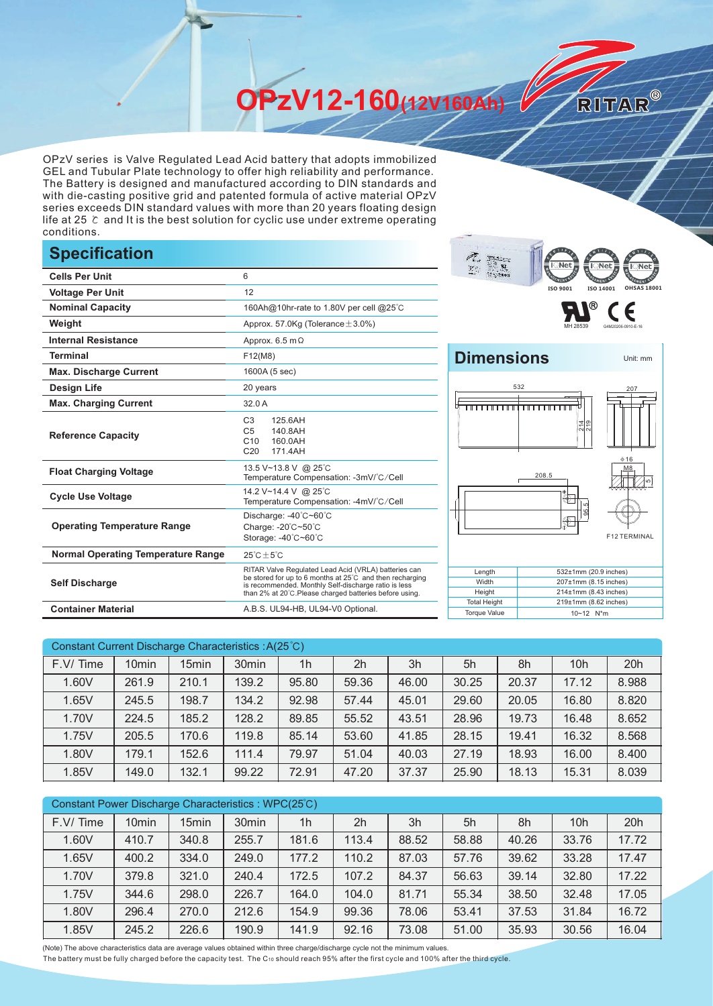**OPzV12-160(12V160Ah)** 

OPzV series is Valve Regulated Lead Acid battery that adopts immobilized GEL and Tubular Plate technology to offer high reliability and performance. The Battery is designed and manufactured according to DIN standards and with die-casting positive grid and patented formula of active material OPzV series exceeds DIN standard values with more than 20 years floating design life at 25 ℃ and It is the best solution for cyclic use under extreme operating conditions.

## **Specification**

|                                           |                                                                                                                                                                                                                                    | $\cdots$<br>н част туу                                                        |
|-------------------------------------------|------------------------------------------------------------------------------------------------------------------------------------------------------------------------------------------------------------------------------------|-------------------------------------------------------------------------------|
| <b>Cells Per Unit</b>                     | 6                                                                                                                                                                                                                                  | $Z_{\rm max}$<br>$\frac{1}{2}$                                                |
| <b>Voltage Per Unit</b>                   | 12                                                                                                                                                                                                                                 | ISO 9001<br>ISO 140                                                           |
| <b>Nominal Capacity</b>                   | 160Ah@10hr-rate to 1.80V per cell @25°C                                                                                                                                                                                            | ®                                                                             |
| Weight                                    | Approx. 57.0Kg (Tolerance $\pm$ 3.0%)                                                                                                                                                                                              |                                                                               |
| <b>Internal Resistance</b>                | Approx. $6.5 \text{ m}\Omega$                                                                                                                                                                                                      |                                                                               |
| <b>Terminal</b>                           | F12(M8)                                                                                                                                                                                                                            | <b>Dimensions</b>                                                             |
| <b>Max. Discharge Current</b>             | 1600A (5 sec)                                                                                                                                                                                                                      |                                                                               |
| <b>Design Life</b>                        | 20 years                                                                                                                                                                                                                           | 532                                                                           |
| <b>Max. Charging Current</b>              | 32.0 A                                                                                                                                                                                                                             |                                                                               |
| <b>Reference Capacity</b>                 | C <sub>3</sub><br>125.6AH<br>C <sub>5</sub><br>140.8AH<br>C10<br>160.0AH<br>C <sub>20</sub><br>171.4AH                                                                                                                             | ∣⊣∣ത<br>입의                                                                    |
| <b>Float Charging Voltage</b>             | 13.5 V~13.8 V @ 25°C<br>Temperature Compensation: -3mV/°C/Cell                                                                                                                                                                     | 208.5                                                                         |
| <b>Cycle Use Voltage</b>                  | 14.2 V~14.4 V @ 25°C<br>Temperature Compensation: -4mV/°C/Cell                                                                                                                                                                     | $\bigoplus$                                                                   |
| <b>Operating Temperature Range</b>        | Discharge: -40°C~60°C<br>Charge: -20°C~50°C<br>Storage: -40°C~60°C                                                                                                                                                                 | $\circledast$                                                                 |
| <b>Normal Operating Temperature Range</b> | $25^{\circ}$ C $\pm 5^{\circ}$ C                                                                                                                                                                                                   |                                                                               |
| <b>Self Discharge</b>                     | RITAR Valve Regulated Lead Acid (VRLA) batteries can<br>be stored for up to 6 months at 25°C and then recharging<br>is recommended. Monthly Self-discharge ratio is less<br>than 2% at 20°C.Please charged batteries before using. | Length<br>532±1mm (20.9<br>Width<br>207±1mm (8.15)<br>Height<br>214±1mm (8.43 |
| <b>Container Material</b>                 | A.B.S. UL94-HB, UL94-V0 Optional.                                                                                                                                                                                                  | <b>Total Height</b><br>219±1mm (8.62<br><b>Torque Value</b><br>10~12 N*m      |





RITAR®



| Constant Current Discharge Characteristics : A(25°C) |                   |       |                   |                |       |       |       |       |       |       |
|------------------------------------------------------|-------------------|-------|-------------------|----------------|-------|-------|-------|-------|-------|-------|
| F.V/Time                                             | 10 <sub>min</sub> | 15min | 30 <sub>min</sub> | 1 <sub>h</sub> | 2h    | 3h    | 5h    | 8h    | 10h   | 20h   |
| 1.60V                                                | 261.9             | 210.1 | 139.2             | 95.80          | 59.36 | 46.00 | 30.25 | 20.37 | 17.12 | 8.988 |
| 1.65V                                                | 245.5             | 198.7 | 134.2             | 92.98          | 57.44 | 45.01 | 29.60 | 20.05 | 16.80 | 8.820 |
| 1.70V                                                | 224.5             | 185.2 | 128.2             | 89.85          | 55.52 | 43.51 | 28.96 | 19.73 | 16.48 | 8.652 |
| 1.75V                                                | 205.5             | 170.6 | 119.8             | 85.14          | 53.60 | 41.85 | 28.15 | 19.41 | 16.32 | 8.568 |
| 1.80V                                                | 179.1             | 152.6 | 111.4             | 79.97          | 51.04 | 40.03 | 27.19 | 18.93 | 16.00 | 8.400 |
| 1.85V                                                | 149.0             | 132.1 | 99.22             | 72.91          | 47.20 | 37.37 | 25.90 | 18.13 | 15.31 | 8.039 |

| Constant Power Discharge Characteristics: WPC(25°C) |                   |                   |                   |                |       |       |       |       |       |       |
|-----------------------------------------------------|-------------------|-------------------|-------------------|----------------|-------|-------|-------|-------|-------|-------|
| F.V/Time                                            | 10 <sub>min</sub> | 15 <sub>min</sub> | 30 <sub>min</sub> | 1 <sub>h</sub> | 2h    | 3h    | 5h    | 8h    | 10h   | 20h   |
| 1.60V                                               | 410.7             | 340.8             | 255.7             | 181.6          | 113.4 | 88.52 | 58.88 | 40.26 | 33.76 | 17.72 |
| 1.65V                                               | 400.2             | 334.0             | 249.0             | 177.2          | 110.2 | 87.03 | 57.76 | 39.62 | 33.28 | 17.47 |
| 1.70V                                               | 379.8             | 321.0             | 240.4             | 172.5          | 107.2 | 84.37 | 56.63 | 39.14 | 32.80 | 17.22 |
| 1.75V                                               | 344.6             | 298.0             | 226.7             | 164.0          | 104.0 | 81.71 | 55.34 | 38.50 | 32.48 | 17.05 |
| 1.80V                                               | 296.4             | 270.0             | 212.6             | 154.9          | 99.36 | 78.06 | 53.41 | 37.53 | 31.84 | 16.72 |
| 1.85V                                               | 245.2             | 226.6             | 190.9             | 141.9          | 92.16 | 73.08 | 51.00 | 35.93 | 30.56 | 16.04 |

(Note) The above characteristics data are average values obtained within three charge/discharge cycle not the minimum values.

The battery must be fully charged before the capacity test. The C10 should reach 95% after the first cycle and 100% after the third cycle.